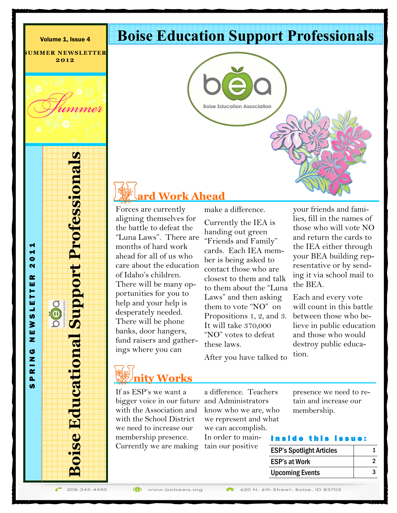**SUMMER NEWSLETTER 2 0 1 2**

#### **Boise Education Support Professionals**

**Boise Education Association** 

### **ard Work Ahead**

Forces are currently aligning themselves for the battle to defeat the "Luna Laws". There are months of hard work ahead for all of us who care about the education of Idaho's children. There will be many opportunities for you to help and your help is desperately needed. There will be phone banks, door hangers, fund raisers and gatherings where you can

make a difference. Currently the IEA is handing out green "Friends and Family" cards. Each IEA member is being asked to contact those who are closest to them and talk to them about the "Luna Laws" and then asking them to vote "NO" on Propositions 1, 2, and 3. It will take 370,000 "NO" votes to defeat these laws.

After you have talked to

your friends and families, fill in the names of those who will vote NO and return the cards to the IEA either through your BEA building representative or by sending it via school mail to the BEA.

Each and every vote will count in this battle between those who believe in public education and those who would destroy public education.

# **nity Works**

If as ESP's we want a bigger voice in our future and Administrators with the Association and with the School District we need to increase our membership presence. Currently we are making tain our positive

a difference. Teachers know who we are, who we represent and what we can accomplish. In order to mainpresence we need to retain and increase our membership.

#### Inside this issue:

| <b>ESP's Spotlight Articles</b> |  |
|---------------------------------|--|
| <b>ESP's at Work</b>            |  |
| <b>Upcoming Events</b>          |  |

208-345-4450

**Boise Educational Support Professionals**

**Boise Educational Support Professionals** 

S P R I N G N E W S L E T T E R 2 0 1 1

OGO

SLETT

₹ ш z ය z  $\alpha$  $\mathbf{a}$ **S** 

 $\blacktriangleleft$  $\bullet$  $\mathbf{\tilde{N}}$ œ ш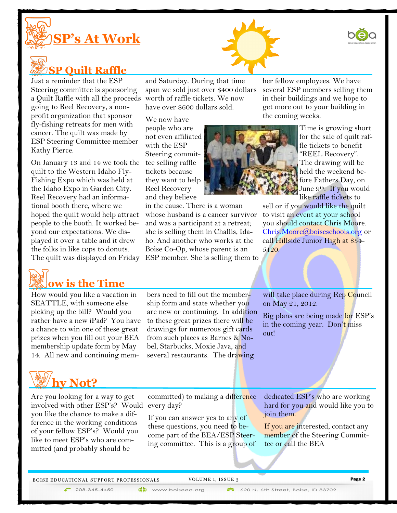

### **SP Quilt Raffle**

Just a reminder that the ESP Steering committee is sponsoring a Quilt Raffle with all the proceeds worth of raffle tickets. We now going to Reel Recovery, a nonprofit organization that sponsor fly-fishing retreats for men with cancer. The quilt was made by ESP Steering Committee member Kathy Pierce.

On January 13 and 14 we took the tee selling raffle quilt to the Western Idaho Fly-Fishing Expo which was held at the Idaho Expo in Garden City. Reel Recovery had an informational booth there, where we hoped the quilt would help attract people to the booth. It worked beyond our expectations. We displayed it over a table and it drew the folks in like cops to donuts.



How would you like a vacation in SEATTLE, with someone else picking up the bill? Would you rather have a new iPad? You have a chance to win one of these great prizes when you fill out your BEA membership update form by May 14. All new and continuing mem-

and Saturday. During that time span we sold just over \$400 dollars have over \$600 dollars sold.

We now have people who are not even affiliated with the ESP Steering committickets because they want to help Reel Recovery and they believe

The quilt was displayed on Friday ESP member. She is selling them to in the cause. There is a woman whose husband is a cancer survivor and was a participant at a retreat; she is selling them in Challis, Idaho. And another who works at the Boise Co-Op, whose parent is an

her fellow employees. We have several ESP members selling them in their buildings and we hope to get more out to your building in the coming weeks.



Time is growing short for the sale of quilt raffle tickets to benefit "REEL Recovery". The drawing will be held the weekend before Fathers Day, on June 9<sup>th</sup>. If you would like raffle tickets to

sell or if you would like the quilt to visit an event at your school you should contact Chris Moore. [Chris.Moore@boiseschools.org](mailto:Chris.Moore@boiseschools.org) or call Hillside Junior High at 854-5120.

bers need to fill out the membership form and state whether you are new or continuing. In addition to these great prizes there will be drawings for numerous gift cards from such places as Barnes & Nobel, Starbucks, Moxie Java, and several restaurants. The drawing

will take place during Rep Council on May 21, 2012.

Big plans are being made for ESP's in the coming year. Don't miss out!

## **hy Not?**

Are you looking for a way to get involved with other ESP's? Would every day? you like the chance to make a difference in the working conditions of your fellow ESP's? Would you like to meet ESP's who are committed (and probably should be

committed) to making a difference

If you can answer yes to any of these questions, you need to become part of the BEA/ESP Steering committee. This is a group of

(iii) www.boiseea.org

dedicated ESP's who are working hard for you and would like you to join them.

If you are interested, contact any member of the Steering Committee or call the BEA

BOISE EDUCATIONAL SUPPORT PROFESSIONALS VOLUME 1, ISSUE 3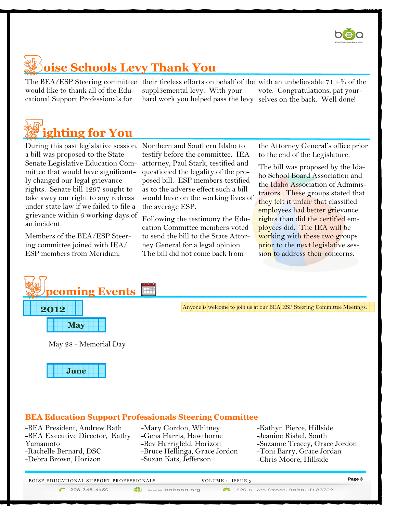

## **oise Schools Levy Thank You**

would like to thank all of the Educational Support Professionals for

The BEA/ESP Steering committee their tireless efforts on behalf of the with an unbelievable 71 +% of the suppl3emental levy. With your hard work you helped pass the levy selves on the back. Well done! vote. Congratulations, pat your-



During this past legislative session, Northern and Southern Idaho to a bill was proposed to the State Senate Legislative Education Committee that would have significantly changed our legal grievance rights. Senate bill 1297 sought to take away our right to any redress under state law if we failed to file a grievance within 6 working days of an incident.

Members of the BEA/ESP Steering committee joined with IEA/ ESP members from Meridian,

testify before the committee. IEA attorney, Paul Stark, testified and questioned the legality of the proposed bill. ESP members testified as to the adverse effect such a bill would have on the working lives of the average ESP.

Following the testimony the Education Committee members voted to send the bill to the State Attorney General for a legal opinion. The bill did not come back from

the Attorney General's office prior to the end of the Legislature.

The bill was proposed by the Idaho School Board Association and the Idaho Association of Administrators. These groups stated that they felt it unfair that classified employees had better grievance rights than did the certified employees did. The IEA will be working with these two groups prior to the next legislative session to address their concerns.